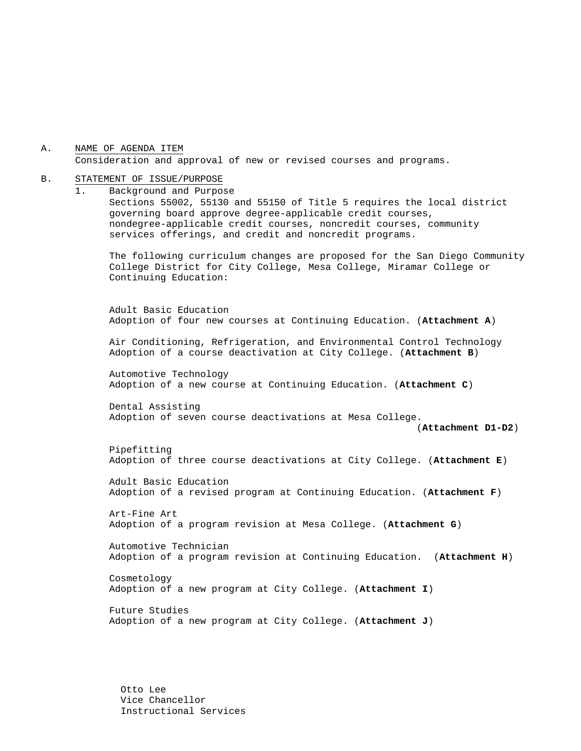A. NAME OF AGENDA ITEM Consideration and approval of new or revised courses and programs.

#### B. STATEMENT OF ISSUE/PURPOSE

1. Background and Purpose Sections 55002, 55130 and 55150 of Title 5 requires the local district governing board approve degree-applicable credit courses, nondegree-applicable credit courses, noncredit courses, community services offerings, and credit and noncredit programs.

The following curriculum changes are proposed for the San Diego Community College District for City College, Mesa College, Miramar College or Continuing Education:

 Adult Basic Education Adoption of four new courses at Continuing Education. (**Attachment A**)

Air Conditioning, Refrigeration, and Environmental Control Technology Adoption of a course deactivation at City College. (**Attachment B**)

 Automotive Technology Adoption of a new course at Continuing Education. (**Attachment C**)

 Dental Assisting Adoption of seven course deactivations at Mesa College.

(**Attachment D1-D2**)

 Pipefitting Adoption of three course deactivations at City College. (**Attachment E**)

 Adult Basic Education Adoption of a revised program at Continuing Education. (**Attachment F**)

 Art-Fine Art Adoption of a program revision at Mesa College. (**Attachment G**)

 Automotive Technician Adoption of a program revision at Continuing Education. (**Attachment H**)

 Cosmetology Adoption of a new program at City College. (**Attachment I**)

 Future Studies Adoption of a new program at City College. (**Attachment J**)

Otto Lee Vice Chancellor Instructional Services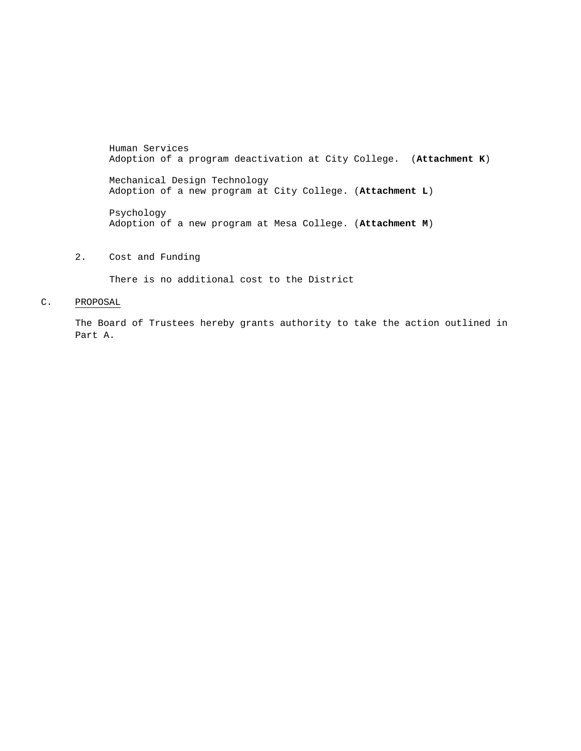Human Services Adoption of a program deactivation at City College. (**Attachment K**)

Mechanical Design Technology Adoption of a new program at City College. (**Attachment L**)

 Psychology Adoption of a new program at Mesa College. (**Attachment M**)

2. Cost and Funding

There is no additional cost to the District

### C. PROPOSAL

The Board of Trustees hereby grants authority to take the action outlined in Part A.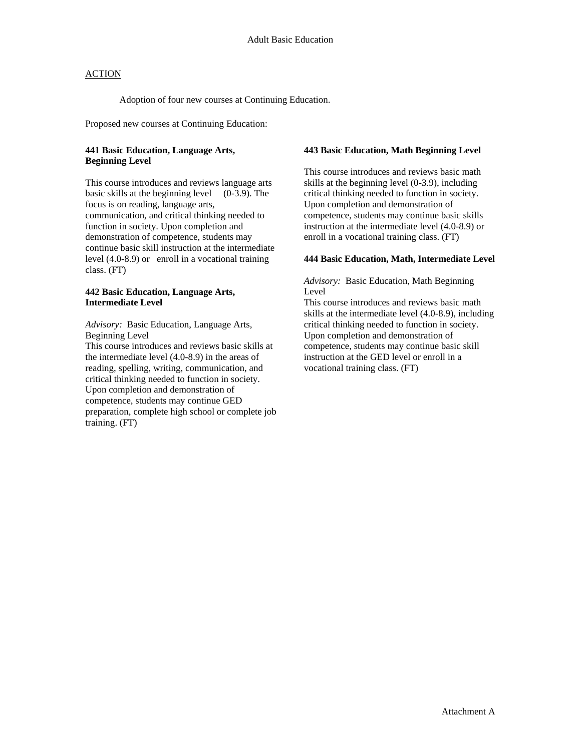Adoption of four new courses at Continuing Education.

Proposed new courses at Continuing Education:

### **441 Basic Education, Language Arts, Beginning Level**

This course introduces and reviews language arts basic skills at the beginning level (0-3.9). The focus is on reading, language arts, communication, and critical thinking needed to function in society. Upon completion and demonstration of competence, students may continue basic skill instruction at the intermediate level (4.0-8.9) or enroll in a vocational training class. (FT)

### **442 Basic Education, Language Arts, Intermediate Level**

*Advisory:* Basic Education, Language Arts, Beginning Level

This course introduces and reviews basic skills at the intermediate level (4.0-8.9) in the areas of reading, spelling, writing, communication, and critical thinking needed to function in society. Upon completion and demonstration of competence, students may continue GED preparation, complete high school or complete job training. (FT)

### **443 Basic Education, Math Beginning Level**

This course introduces and reviews basic math skills at the beginning level (0-3.9), including critical thinking needed to function in society. Upon completion and demonstration of competence, students may continue basic skills instruction at the intermediate level (4.0-8.9) or enroll in a vocational training class. (FT)

### **444 Basic Education, Math, Intermediate Level**

*Advisory:* Basic Education, Math Beginning Level

This course introduces and reviews basic math skills at the intermediate level (4.0-8.9), including critical thinking needed to function in society. Upon completion and demonstration of competence, students may continue basic skill instruction at the GED level or enroll in a vocational training class. (FT)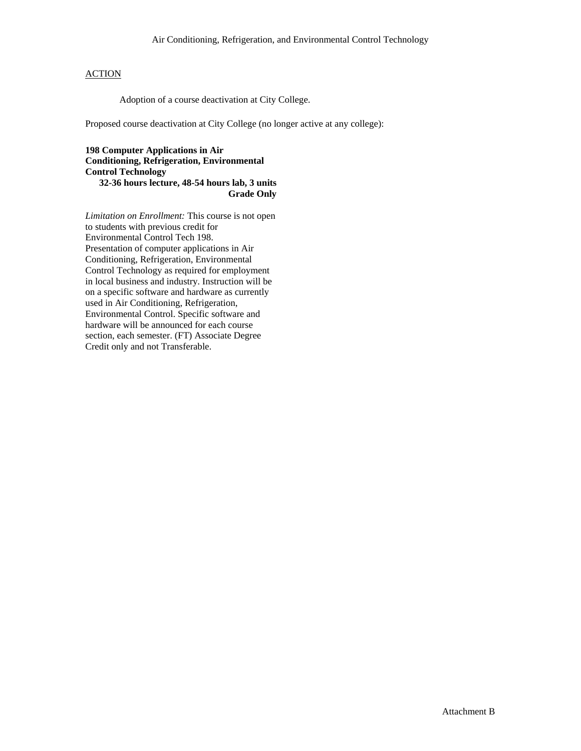Adoption of a course deactivation at City College.

Proposed course deactivation at City College (no longer active at any college):

**198 Computer Applications in Air Conditioning, Refrigeration, Environmental Control Technology 32-36 hours lecture, 48-54 hours lab, 3 units Grade Only** 

*Limitation on Enrollment:* This course is not open to students with previous credit for Environmental Control Tech 198. Presentation of computer applications in Air Conditioning, Refrigeration, Environmental Control Technology as required for employment in local business and industry. Instruction will be on a specific software and hardware as currently used in Air Conditioning, Refrigeration, Environmental Control. Specific software and hardware will be announced for each course section, each semester. (FT) Associate Degree Credit only and not Transferable.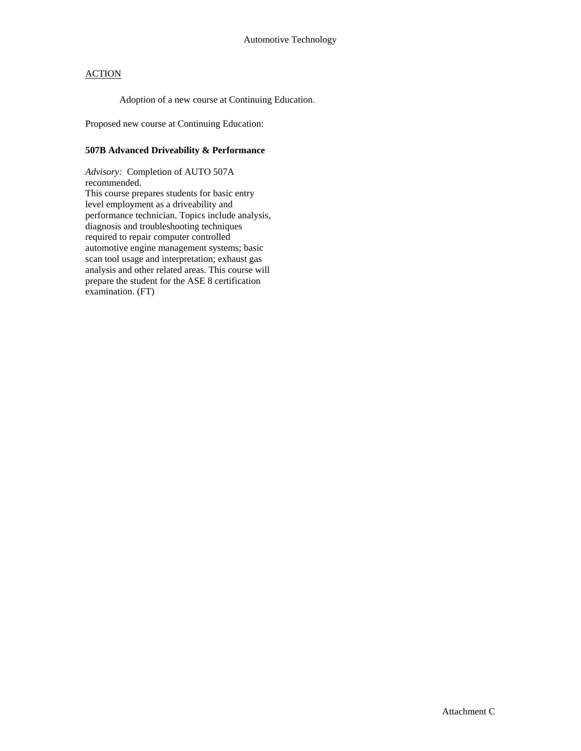Adoption of a new course at Continuing Education.

Proposed new course at Continuing Education:

### **507B Advanced Driveability & Performance**

*Advisory:* Completion of AUTO 507A recommended. This course prepares students for basic entry level employment as a driveability and performance technician. Topics include analysis, diagnosis and troubleshooting techniques required to repair computer controlled automotive engine management systems; basic scan tool usage and interpretation; exhaust gas analysis and other related areas. This course will prepare the student for the ASE 8 certification examination. (FT)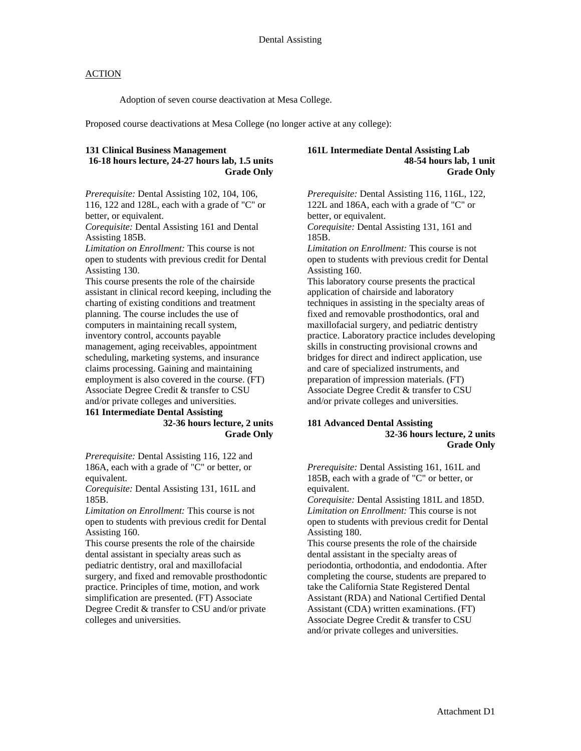Adoption of seven course deactivation at Mesa College.

Proposed course deactivations at Mesa College (no longer active at any college):

### **131 Clinical Business Management 16-18 hours lecture, 24-27 hours lab, 1.5 units Grade Only**

*Prerequisite:* Dental Assisting 102, 104, 106, 116, 122 and 128L, each with a grade of "C" or better, or equivalent.

*Corequisite:* Dental Assisting 161 and Dental Assisting 185B.

*Limitation on Enrollment:* This course is not open to students with previous credit for Dental Assisting 130.

This course presents the role of the chairside assistant in clinical record keeping, including the charting of existing conditions and treatment planning. The course includes the use of computers in maintaining recall system, inventory control, accounts payable management, aging receivables, appointment scheduling, marketing systems, and insurance claims processing. Gaining and maintaining employment is also covered in the course. (FT) Associate Degree Credit & transfer to CSU and/or private colleges and universities.

### **161 Intermediate Dental Assisting 32-36 hours lecture, 2 units Grade Only**

*Prerequisite:* Dental Assisting 116, 122 and 186A, each with a grade of "C" or better, or equivalent.

*Corequisite:* Dental Assisting 131, 161L and 185B.

*Limitation on Enrollment:* This course is not open to students with previous credit for Dental Assisting 160.

This course presents the role of the chairside dental assistant in specialty areas such as pediatric dentistry, oral and maxillofacial surgery, and fixed and removable prosthodontic practice. Principles of time, motion, and work simplification are presented. (FT) Associate Degree Credit & transfer to CSU and/or private colleges and universities.

#### **161L Intermediate Dental Assisting Lab 48-54 hours lab, 1 unit Grade Only**

*Prerequisite:* Dental Assisting 116, 116L, 122, 122L and 186A, each with a grade of "C" or better, or equivalent. *Corequisite:* Dental Assisting 131, 161 and 185B. *Limitation on Enrollment:* This course is not open to students with previous credit for Dental Assisting 160. This laboratory course presents the practical application of chairside and laboratory techniques in assisting in the specialty areas of fixed and removable prosthodontics, oral and maxillofacial surgery, and pediatric dentistry practice. Laboratory practice includes developing skills in constructing provisional crowns and bridges for direct and indirect application, use and care of specialized instruments, and preparation of impression materials. (FT) Associate Degree Credit & transfer to CSU and/or private colleges and universities.

### **181 Advanced Dental Assisting 32-36 hours lecture, 2 units Grade Only**

*Prerequisite:* Dental Assisting 161, 161L and 185B, each with a grade of "C" or better, or equivalent.

*Corequisite:* Dental Assisting 181L and 185D. *Limitation on Enrollment:* This course is not open to students with previous credit for Dental Assisting 180.

This course presents the role of the chairside dental assistant in the specialty areas of periodontia, orthodontia, and endodontia. After completing the course, students are prepared to take the California State Registered Dental Assistant (RDA) and National Certified Dental Assistant (CDA) written examinations. (FT) Associate Degree Credit & transfer to CSU and/or private colleges and universities.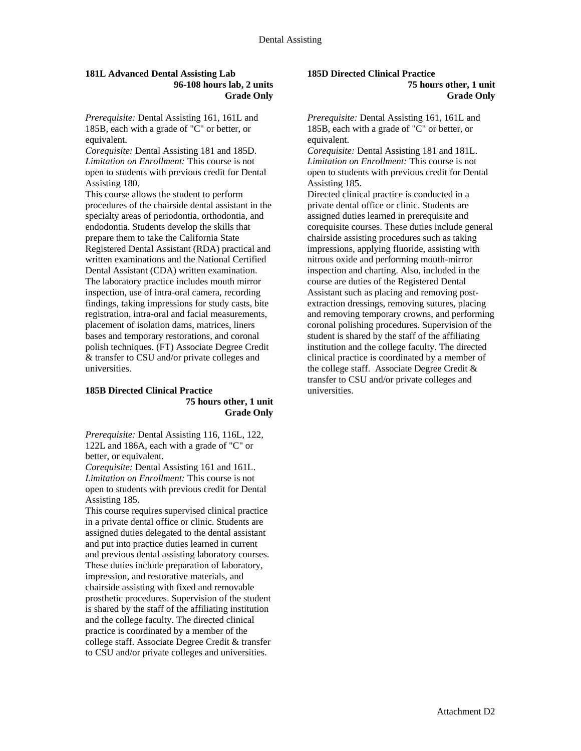### **181L Advanced Dental Assisting Lab 96-108 hours lab, 2 units Grade Only**

*Prerequisite:* Dental Assisting 161, 161L and 185B, each with a grade of "C" or better, or equivalent.

*Corequisite:* Dental Assisting 181 and 185D. *Limitation on Enrollment:* This course is not open to students with previous credit for Dental Assisting 180.

This course allows the student to perform procedures of the chairside dental assistant in the specialty areas of periodontia, orthodontia, and endodontia. Students develop the skills that prepare them to take the California State Registered Dental Assistant (RDA) practical and written examinations and the National Certified Dental Assistant (CDA) written examination. The laboratory practice includes mouth mirror inspection, use of intra-oral camera, recording findings, taking impressions for study casts, bite registration, intra-oral and facial measurements, placement of isolation dams, matrices, liners bases and temporary restorations, and coronal polish techniques. (FT) Associate Degree Credit & transfer to CSU and/or private colleges and universities.

### **185B Directed Clinical Practice 75 hours other, 1 unit Grade Only**

*Prerequisite:* Dental Assisting 116, 116L, 122, 122L and 186A, each with a grade of "C" or better, or equivalent.

*Corequisite:* Dental Assisting 161 and 161L. *Limitation on Enrollment:* This course is not open to students with previous credit for Dental Assisting 185.

This course requires supervised clinical practice in a private dental office or clinic. Students are assigned duties delegated to the dental assistant and put into practice duties learned in current and previous dental assisting laboratory courses. These duties include preparation of laboratory, impression, and restorative materials, and chairside assisting with fixed and removable prosthetic procedures. Supervision of the student is shared by the staff of the affiliating institution and the college faculty. The directed clinical practice is coordinated by a member of the college staff. Associate Degree Credit & transfer to CSU and/or private colleges and universities.

## **185D Directed Clinical Practice**

**75 hours other, 1 unit Grade Only** 

*Prerequisite:* Dental Assisting 161, 161L and 185B, each with a grade of "C" or better, or equivalent.

*Corequisite:* Dental Assisting 181 and 181L. *Limitation on Enrollment:* This course is not open to students with previous credit for Dental Assisting 185.

Directed clinical practice is conducted in a private dental office or clinic. Students are assigned duties learned in prerequisite and corequisite courses. These duties include general chairside assisting procedures such as taking impressions, applying fluoride, assisting with nitrous oxide and performing mouth-mirror inspection and charting. Also, included in the course are duties of the Registered Dental Assistant such as placing and removing postextraction dressings, removing sutures, placing and removing temporary crowns, and performing coronal polishing procedures. Supervision of the student is shared by the staff of the affiliating institution and the college faculty. The directed clinical practice is coordinated by a member of the college staff. Associate Degree Credit & transfer to CSU and/or private colleges and universities.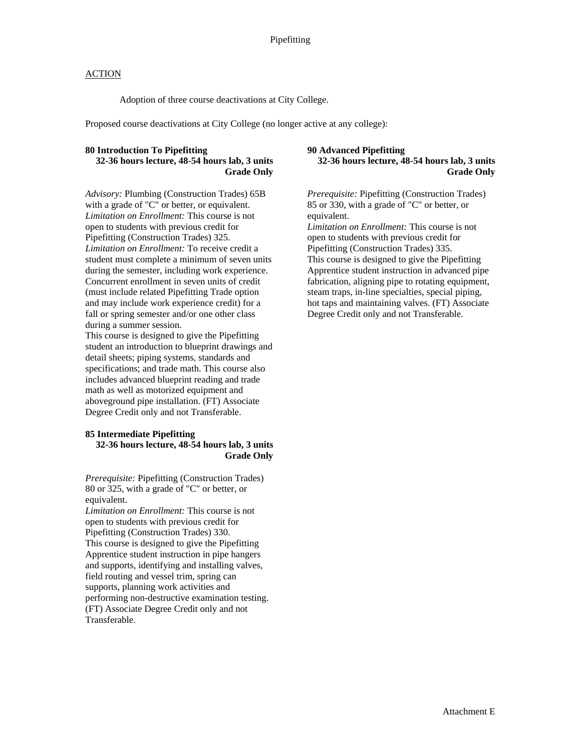Adoption of three course deactivations at City College.

Proposed course deactivations at City College (no longer active at any college):

## **80 Introduction To Pipefitting**

### **32-36 hours lecture, 48-54 hours lab, 3 units Grade Only**

*Advisory:* Plumbing (Construction Trades) 65B with a grade of "C" or better, or equivalent. *Limitation on Enrollment:* This course is not open to students with previous credit for Pipefitting (Construction Trades) 325. *Limitation on Enrollment:* To receive credit a student must complete a minimum of seven units during the semester, including work experience. Concurrent enrollment in seven units of credit (must include related Pipefitting Trade option and may include work experience credit) for a fall or spring semester and/or one other class during a summer session.

This course is designed to give the Pipefitting student an introduction to blueprint drawings and detail sheets; piping systems, standards and specifications; and trade math. This course also includes advanced blueprint reading and trade math as well as motorized equipment and aboveground pipe installation. (FT) Associate Degree Credit only and not Transferable.

#### **85 Intermediate Pipefitting 32-36 hours lecture, 48-54 hours lab, 3 units Grade Only**

*Prerequisite:* Pipefitting (Construction Trades) 80 or 325, with a grade of "C" or better, or equivalent.

*Limitation on Enrollment:* This course is not open to students with previous credit for Pipefitting (Construction Trades) 330. This course is designed to give the Pipefitting Apprentice student instruction in pipe hangers and supports, identifying and installing valves, field routing and vessel trim, spring can supports, planning work activities and performing non-destructive examination testing. (FT) Associate Degree Credit only and not Transferable.

### **90 Advanced Pipefitting 32-36 hours lecture, 48-54 hours lab, 3 units Grade Only**

*Prerequisite:* Pipefitting (Construction Trades) 85 or 330, with a grade of "C" or better, or equivalent. *Limitation on Enrollment:* This course is not

open to students with previous credit for Pipefitting (Construction Trades) 335. This course is designed to give the Pipefitting Apprentice student instruction in advanced pipe fabrication, aligning pipe to rotating equipment, steam traps, in-line specialties, special piping, hot taps and maintaining valves. (FT) Associate Degree Credit only and not Transferable.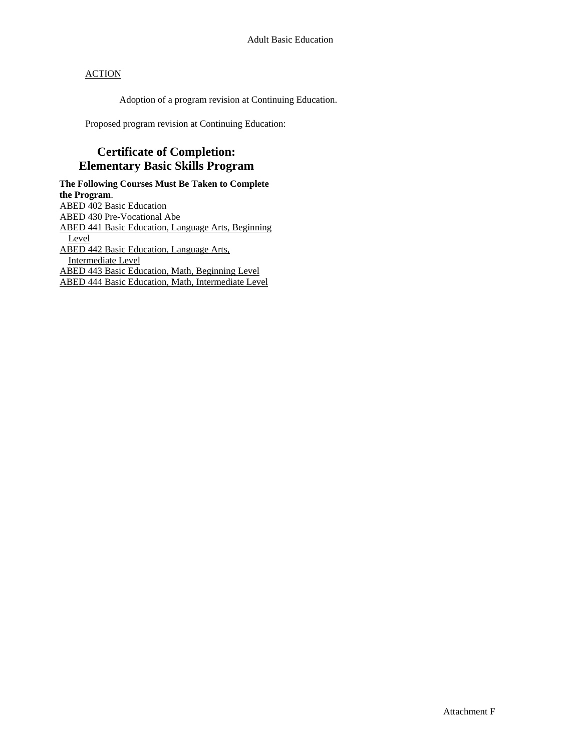Adoption of a program revision at Continuing Education.

Proposed program revision at Continuing Education:

# **Certificate of Completion: Elementary Basic Skills Program**

**The Following Courses Must Be Taken to Complete the Program**. ABED 402 Basic Education ABED 430 Pre-Vocational Abe ABED 441 Basic Education, Language Arts, Beginning Level ABED 442 Basic Education, Language Arts, Intermediate Level ABED 443 Basic Education, Math, Beginning Level ABED 444 Basic Education, Math, Intermediate Level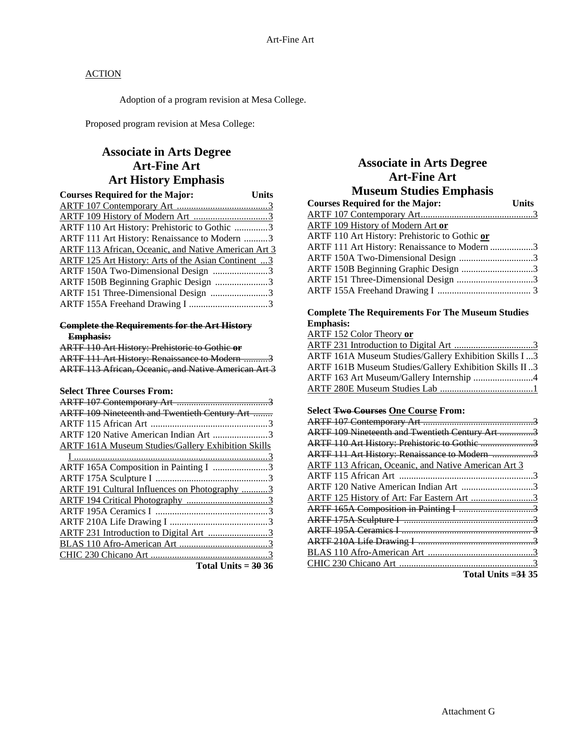Adoption of a program revision at Mesa College.

Proposed program revision at Mesa College:

# **Associate in Arts Degree Art-Fine Art Art History Emphasis**

| <b>Courses Required for the Major:</b>               | <b>Units</b> |
|------------------------------------------------------|--------------|
|                                                      |              |
|                                                      |              |
| ARTF 110 Art History: Prehistoric to Gothic 3        |              |
| ARTF 111 Art History: Renaissance to Modern 3        |              |
| ARTF 113 African, Oceanic, and Native American Art 3 |              |
| ARTF 125 Art History: Arts of the Asian Continent 3  |              |
| ARTF 150A Two-Dimensional Design 3                   |              |
| ARTF 150B Beginning Graphic Design 3                 |              |
| ARTF 151 Three-Dimensional Design 3                  |              |
|                                                      |              |

### **Complete the Requirements for the Art History Emphasis:**

| ARTF 110 Art History: Prehistoric to Gothic or       |
|------------------------------------------------------|
| ARTF 111 Art History: Renaissance to Modern 3        |
| ARTF 113 African, Oceanic, and Native American Art 3 |

## **Select Three Courses From:**

| ARTF 109 Nineteenth and Twentieth Century Art             |
|-----------------------------------------------------------|
|                                                           |
| ARTF 120 Native American Indian Art 3                     |
| <b>ARTF 161A Museum Studies/Gallery Exhibition Skills</b> |
|                                                           |
| ARTF 165A Composition in Painting I 3                     |
|                                                           |
| <b>ARTF 191 Cultural Influences on Photography 3</b>      |
|                                                           |
|                                                           |
|                                                           |
| ARTF 231 Introduction to Digital Art 3                    |
|                                                           |
|                                                           |
| $T_{\text{old}}$ $T_{\text{old}}$                         |

|  | Total Units $=$ 30 36 |  |  |
|--|-----------------------|--|--|
|--|-----------------------|--|--|

# **Associate in Arts Degree Art-Fine Art Museum Studies Emphasis**

| Units                                         |
|-----------------------------------------------|
|                                               |
|                                               |
|                                               |
| ARTF 111 Art History: Renaissance to Modern 3 |
| ARTF 150A Two-Dimensional Design 3            |
| ARTF 150B Beginning Graphic Design 3          |
|                                               |
|                                               |
|                                               |

### **Complete The Requirements For The Museum Studies Emphasis:**

ARTF 152 Color Theory **or**

| ARTF 161A Museum Studies/Gallery Exhibition Skills I 3<br>ARTF 161B Museum Studies/Gallery Exhibition Skills II3<br>ARTF 163 Art Museum/Gallery Internship 4 |
|--------------------------------------------------------------------------------------------------------------------------------------------------------------|
|                                                                                                                                                              |
|                                                                                                                                                              |
|                                                                                                                                                              |
|                                                                                                                                                              |

### **Select Two Courses One Course From:**

| ARTF 109 Nineteenth and Twentieth Century Art 3             |  |
|-------------------------------------------------------------|--|
| ARTF 110 Art History: Prehistoric to Gothic 3               |  |
| ARTF 111 Art History: Renaissance to Modern 3               |  |
| <b>ARTF 113 African, Oceanic, and Native American Art 3</b> |  |
|                                                             |  |
| ARTF 120 Native American Indian Art 3                       |  |
| ARTF 125 History of Art: Far Eastern Art 3                  |  |
|                                                             |  |
|                                                             |  |
|                                                             |  |
|                                                             |  |
|                                                             |  |
|                                                             |  |
|                                                             |  |

**Total Units =31 35**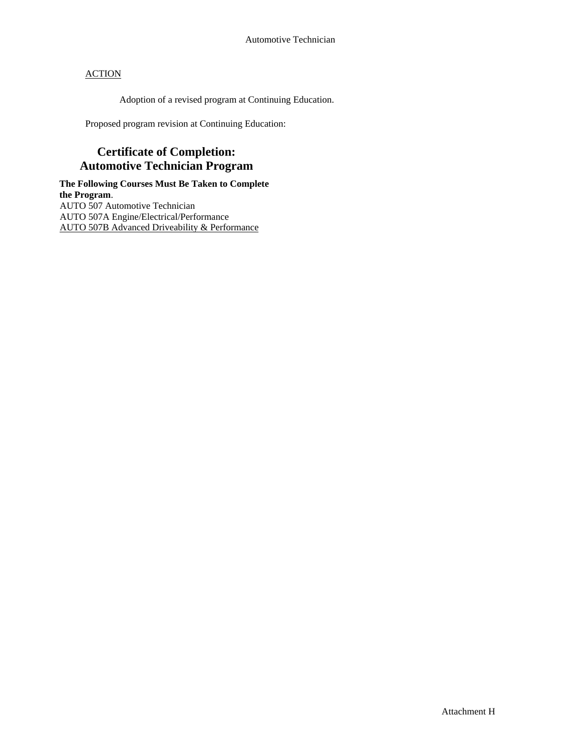Adoption of a revised program at Continuing Education.

Proposed program revision at Continuing Education:

# **Certificate of Completion: Automotive Technician Program**

**The Following Courses Must Be Taken to Complete the Program**. AUTO 507 Automotive Technician AUTO 507A Engine/Electrical/Performance AUTO 507B Advanced Driveability & Performance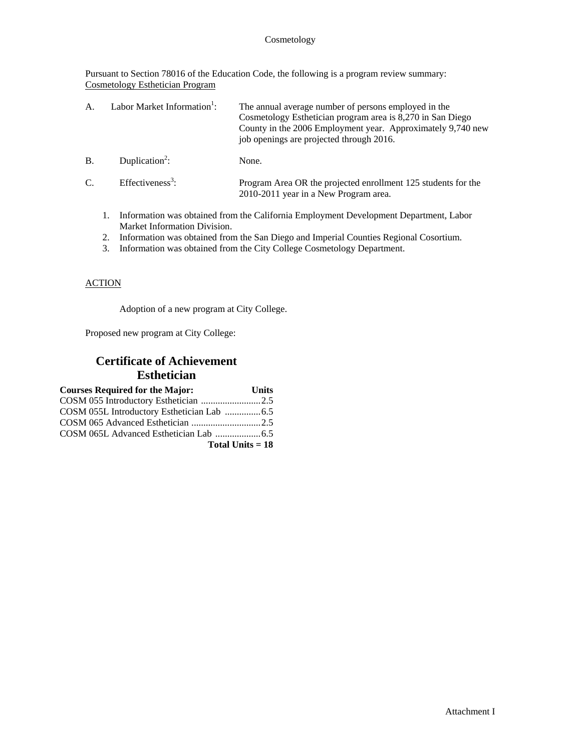### Cosmetology

Pursuant to Section 78016 of the Education Code, the following is a program review summary: Cosmetology Esthetician Program

| $\mathbf{A}$    | Labor Market Information <sup>1</sup> : | The annual average number of persons employed in the<br>Cosmetology Esthetician program area is 8,270 in San Diego<br>County in the 2006 Employment year. Approximately 9,740 new<br>job openings are projected through 2016. |
|-----------------|-----------------------------------------|-------------------------------------------------------------------------------------------------------------------------------------------------------------------------------------------------------------------------------|
| <b>B.</b>       | Duplication <sup>2</sup> :              | None.                                                                                                                                                                                                                         |
| $\mathcal{C}$ . | Effectiveness <sup>3</sup> :            | Program Area OR the projected enrollment 125 students for the<br>2010-2011 year in a New Program area.                                                                                                                        |

- 1. Information was obtained from the California Employment Development Department, Labor Market Information Division.
- 2. Information was obtained from the San Diego and Imperial Counties Regional Cosortium.
- 3. Information was obtained from the City College Cosmetology Department.

### **ACTION**

Adoption of a new program at City College.

Proposed new program at City College:

# **Certificate of Achievement Esthetician**

| <b>Courses Required for the Major:</b> | <b>Units</b>       |
|----------------------------------------|--------------------|
|                                        |                    |
|                                        |                    |
| COSM 065 Advanced Esthetician 2.5      |                    |
|                                        |                    |
|                                        | Total Units $= 18$ |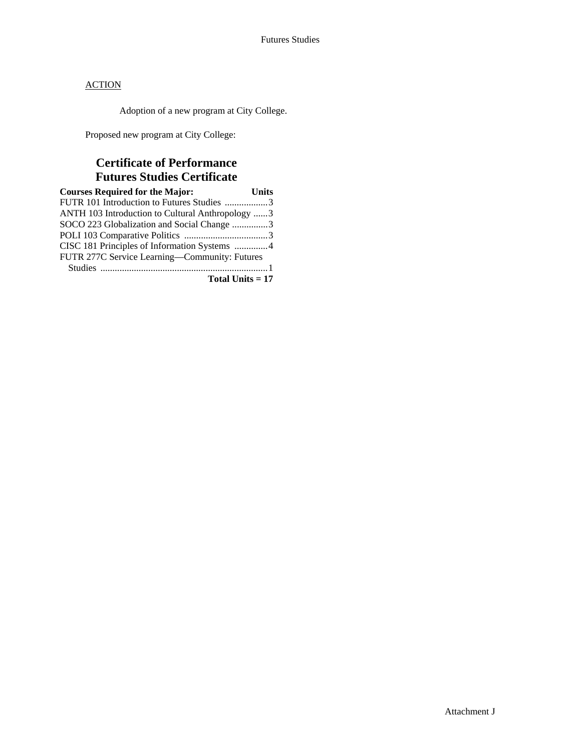Adoption of a new program at City College.

Proposed new program at City College:

# **Certificate of Performance Futures Studies Certificate**

| <b>Courses Required for the Major:</b>           | <b>Units</b> |
|--------------------------------------------------|--------------|
| FUTR 101 Introduction to Futures Studies 3       |              |
| ANTH 103 Introduction to Cultural Anthropology 3 |              |
| SOCO 223 Globalization and Social Change 3       |              |
|                                                  |              |
| CISC 181 Principles of Information Systems 4     |              |
| FUTR 277C Service Learning-Community: Futures    |              |
|                                                  |              |
| Total Units $= 17$                               |              |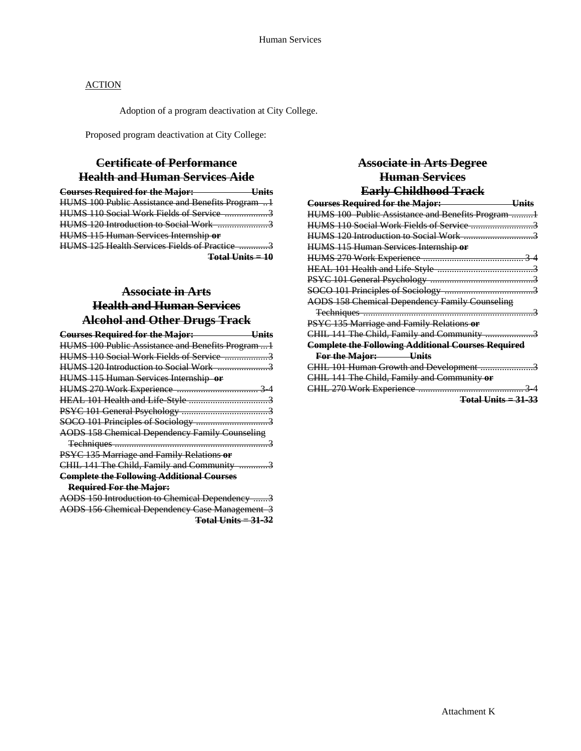Adoption of a program deactivation at City College.

Proposed program deactivation at City College:

# **Certificate of Performance Health and Human Services Aide**

| <b>Courses Required for the Major:</b>            |  |
|---------------------------------------------------|--|
| HUMS 100 Public Assistance and Benefits Program 1 |  |
| HUMS 110 Social Work Fields of Service 3          |  |
| <b>HUMS 120 Introduction to Social Work</b>       |  |
| HUMS 115 Human Services Internship or             |  |
| HUMS 125 Health Services Fields of Practice 3     |  |
| <u> Total Unite – 10</u>                          |  |

# **Associate in Arts Health and Human Services Alcohol and Other Drugs Track**

| <b>Courses Required for the Major:</b><br><u>Units</u> |
|--------------------------------------------------------|
| HUMS 100 Public Assistance and Benefits Program1       |
|                                                        |
|                                                        |
| HUMS 115 Human Services Internship or                  |
|                                                        |
|                                                        |
|                                                        |
|                                                        |
| <b>AODS 158 Chemical Dependency Family Counseling</b>  |
|                                                        |
| PSYC 135 Marriage and Family Relations or              |
| CHIL 141 The Child, Family and Community 3             |
| <b>Complete the Following Additional Courses</b>       |
| <b>Required For the Major:</b>                         |
| AODS 150 Introduction to Chemical Dependency 3         |
| <b>AODS 156 Chemical Dependency Case Management 3</b>  |

**Total Units = 31-32**

# **Associate in Arts Degree Human Services Early Childhood Track**

| <b>Courses Required for the Major:</b><br><u>Units</u>    |
|-----------------------------------------------------------|
| HUMS 100 Public Assistance and Benefits Program 1         |
|                                                           |
|                                                           |
| HUMS 115 Human Services Internship or                     |
|                                                           |
|                                                           |
|                                                           |
|                                                           |
| <b>AODS 158 Chemical Dependency Family Counseling</b>     |
|                                                           |
| PSYC 135 Marriage and Family Relations or                 |
| CHIL 141 The Child, Family and Community 3                |
| <b>Complete the Following Additional Courses Required</b> |
| For the Major: Units                                      |
| CHIL 101 Human Growth and Development 3                   |
| CHIL 141 The Child, Family and Community or               |
|                                                           |
| <b>Total Units = 31-33</b>                                |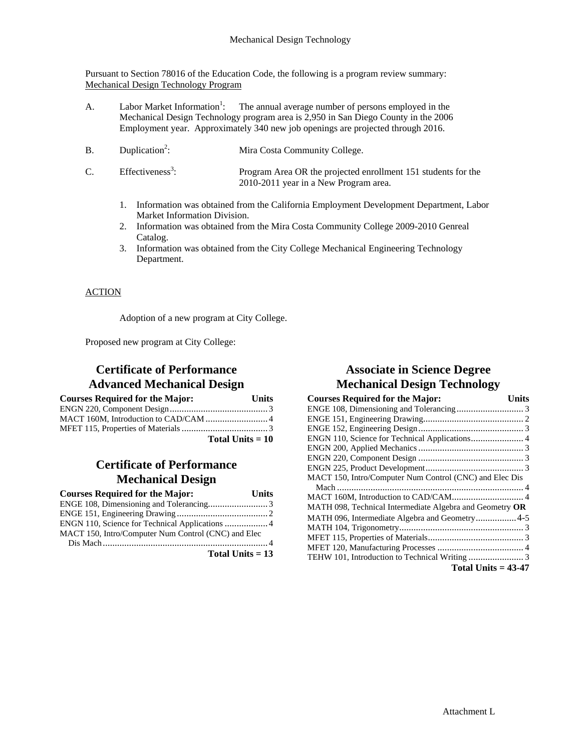Pursuant to Section 78016 of the Education Code, the following is a program review summary: Mechanical Design Technology Program

- A. Labor Market Information<sup>1</sup>: The annual average number of persons employed in the Mechanical Design Technology program area is 2,950 in San Diego County in the 2006 Employment year. Approximately 340 new job openings are projected through 2016.
- $B.$  Duplication<sup>2</sup>: : Mira Costa Community College.
- $C.$  Effectiveness<sup>3</sup>: : Program Area OR the projected enrollment 151 students for the 2010-2011 year in a New Program area.
	- 1. Information was obtained from the California Employment Development Department, Labor Market Information Division.
	- 2. Information was obtained from the Mira Costa Community College 2009-2010 Genreal Catalog.
	- 3. Information was obtained from the City College Mechanical Engineering Technology Department.

## **ACTION**

Adoption of a new program at City College.

Proposed new program at City College:

## **Certificate of Performance Advanced Mechanical Design**

| <b>Courses Required for the Major:</b> | Units              |
|----------------------------------------|--------------------|
|                                        |                    |
|                                        |                    |
|                                        |                    |
|                                        | Total Units $= 10$ |

# **Certificate of Performance Mechanical Design**

| <b>Courses Required for the Major:</b>              | Units |
|-----------------------------------------------------|-------|
|                                                     |       |
|                                                     |       |
| ENGN 110, Science for Technical Applications  4     |       |
| MACT 150, Intro/Computer Num Control (CNC) and Elec |       |
|                                                     |       |
| Total Units $= 13$                                  |       |

# **Associate in Science Degree Mechanical Design Technology**

| <b>Courses Required for the Major:</b>                   | Units |
|----------------------------------------------------------|-------|
|                                                          |       |
|                                                          |       |
|                                                          |       |
| ENGN 110, Science for Technical Applications 4           |       |
|                                                          |       |
|                                                          |       |
|                                                          |       |
| MACT 150, Intro/Computer Num Control (CNC) and Elec Dis  |       |
|                                                          |       |
|                                                          |       |
| MATH 098, Technical Intermediate Algebra and Geometry OR |       |
| MATH 096, Intermediate Algebra and Geometry4-5           |       |
|                                                          |       |
|                                                          |       |
|                                                          |       |
|                                                          |       |
| Total Units $= 43-47$                                    |       |